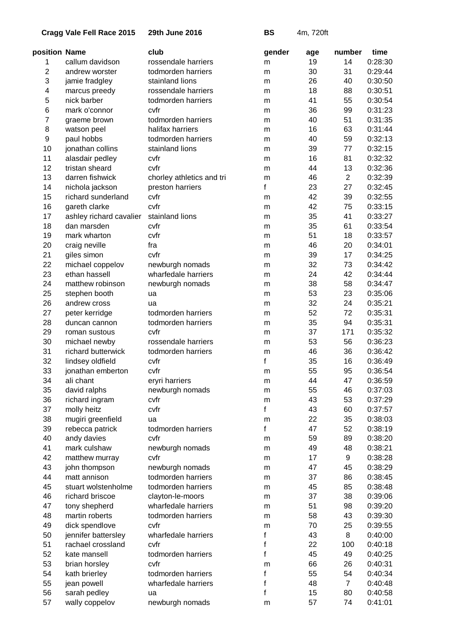**29th June 2016 BS** 4m, 720ft

| position Name  |                         | club                      | gender | age      | number         | time    |
|----------------|-------------------------|---------------------------|--------|----------|----------------|---------|
| 1              | callum davidson         | rossendale harriers       | m      | 19       | 14             | 0:28:30 |
| $\overline{2}$ | andrew worster          | todmorden harriers        | m      | 30       | 31             | 0:29:44 |
| 3              | jamie fradgley          | stainland lions           | m      | 26       | 40             | 0:30:50 |
| 4              | marcus preedy           | rossendale harriers       | m      | 18       | 88             | 0:30:51 |
| 5              | nick barber             | todmorden harriers        | m      | 41       | 55             | 0:30:54 |
| 6              | mark o'connor           | cvfr                      | m      | 36       | 99             | 0:31:23 |
| 7              | graeme brown            | todmorden harriers        | m      | 40       | 51             | 0:31:35 |
| 8              | watson peel             | halifax harriers          | m      | 16       | 63             | 0:31:44 |
| 9              | paul hobbs              | todmorden harriers        | m      | 40       | 59             | 0:32:13 |
| 10             | jonathan collins        | stainland lions           | m      | 39       | 77             | 0:32:15 |
| 11             | alasdair pedley         | cvfr                      | m      | 16       | 81             | 0:32:32 |
| 12             | tristan sheard          | cvfr                      | m      | 44       | 13             | 0:32:36 |
| 13             | darren fishwick         | chorley athletics and tri | m      | 46       | $\overline{2}$ | 0:32:39 |
| 14             | nichola jackson         | preston harriers          | f      | 23       | 27             | 0:32:45 |
| 15             | richard sunderland      | cvfr                      | m      | 42       | 39             | 0:32:55 |
| 16             | gareth clarke           | cvfr                      | m      | 42       | 75             | 0:33:15 |
| 17             | ashley richard cavalier | stainland lions           | m      | 35       | 41             | 0:33:27 |
| 18             | dan marsden             | cvfr                      | m      | 35       | 61             | 0:33:54 |
| 19             | mark wharton            | cvfr                      | m      | 51       | 18             | 0:33:57 |
| 20             | craig neville           | fra                       | m      | 46       | 20             | 0:34:01 |
| 21             | giles simon             | cvfr                      | m      | 39       | 17             | 0:34:25 |
| 22             | michael coppelov        | newburgh nomads           | m      | 32       | 73             | 0:34:42 |
| 23             | ethan hassell           | wharfedale harriers       | m      | 24       | 42             | 0:34:44 |
| 24             | matthew robinson        | newburgh nomads           | m      | 38       | 58             | 0:34:47 |
| 25             | stephen booth           | ua                        | m      | 53       | 23             | 0:35:06 |
| 26             | andrew cross            | ua                        | m      | 32       | 24             | 0:35:21 |
| 27             | peter kerridge          | todmorden harriers        | m      | 52       | 72             | 0:35:31 |
| 28             | duncan cannon           | todmorden harriers        | m      | 35       | 94             | 0:35:31 |
| 29             | roman sustous           | cvfr                      |        | 37       | 171            | 0:35:32 |
| 30             | michael newby           | rossendale harriers       | m      | 53       | 56             | 0:36:23 |
| 31             | richard butterwick      | todmorden harriers        | m      | 46       | 36             | 0:36:42 |
| 32             | lindsey oldfield        | cvfr                      | m<br>f | 35       | 16             | 0:36:49 |
| 33             | jonathan emberton       | cvfr                      |        | 55       | 95             | 0:36:54 |
| 34             | ali chant               |                           | m      | 44       | 47             | 0:36:59 |
|                |                         | eryri harriers            | m      |          |                |         |
| 35             | david ralphs            | newburgh nomads           | m      | 55<br>43 | 46             | 0:37:03 |
| 36             | richard ingram          | cvfr                      | m      |          | 53             | 0:37:29 |
| 37             | molly heitz             | cvfr                      | f      | 43       | 60             | 0:37:57 |
| 38             | mugiri greenfield       | ua                        | m<br>f | 22<br>47 | 35             | 0:38:03 |
| 39             | rebecca patrick         | todmorden harriers        |        |          | 52             | 0:38:19 |
| 40             | andy davies             | cvfr                      | m      | 59       | 89             | 0:38:20 |
| 41             | mark culshaw            | newburgh nomads           | m      | 49       | 48             | 0:38:21 |
| 42             | matthew murray          | cvfr                      | m      | 17       | 9              | 0:38:28 |
| 43             | john thompson           | newburgh nomads           | m      | 47       | 45             | 0:38:29 |
| 44             | matt annison            | todmorden harriers        | m      | 37       | 86             | 0:38:45 |
| 45             | stuart wolstenholme     | todmorden harriers        | m      | 45       | 85             | 0:38:48 |
| 46             | richard briscoe         | clayton-le-moors          | m      | 37       | 38             | 0:39:06 |
| 47             | tony shepherd           | wharfedale harriers       | m      | 51       | 98             | 0:39:20 |
| 48             | martin roberts          | todmorden harriers        | m      | 58       | 43             | 0:39:30 |
| 49             | dick spendlove          | cvfr                      | m      | 70       | 25             | 0:39:55 |
| 50             | jennifer battersley     | wharfedale harriers       | f      | 43       | 8              | 0:40:00 |
| 51             | rachael crossland       | cvfr                      | f      | 22       | 100            | 0:40:18 |
| 52             | kate mansell            | todmorden harriers        | f      | 45       | 49             | 0:40:25 |
| 53             | brian horsley           | cvfr                      | m      | 66       | 26             | 0:40:31 |
| 54             | kath brierley           | todmorden harriers        | f      | 55       | 54             | 0:40:34 |
| 55             | jean powell             | wharfedale harriers       | f      | 48       | $\overline{7}$ | 0:40:48 |
| 56             | sarah pedley            | ua                        | f      | 15       | 80             | 0:40:58 |
| 57             | wally coppelov          | newburgh nomads           | m      | 57       | 74             | 0:41:01 |